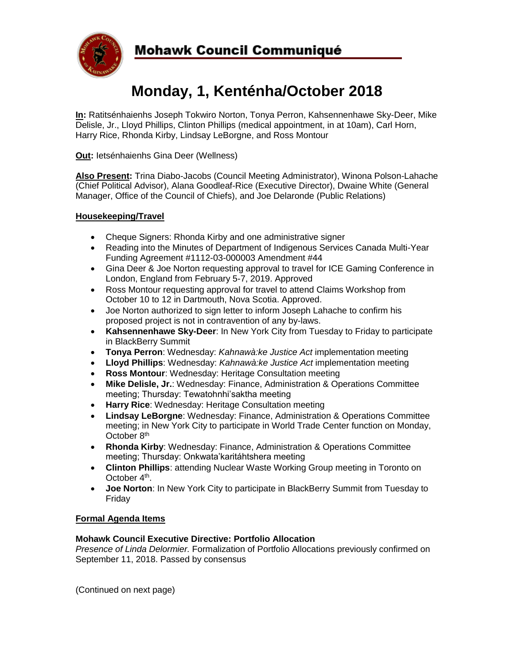

# **Mohawk Council Communiqué**

# **Monday, 1, Kenténha/October 2018**

**In:** Ratitsénhaienhs Joseph Tokwiro Norton, Tonya Perron, Kahsennenhawe Sky-Deer, Mike Delisle, Jr., Lloyd Phillips, Clinton Phillips (medical appointment, in at 10am), Carl Horn, Harry Rice, Rhonda Kirby, Lindsay LeBorgne, and Ross Montour

**Out:** Ietsénhaienhs Gina Deer (Wellness)

**Also Present:** Trina Diabo-Jacobs (Council Meeting Administrator), Winona Polson-Lahache (Chief Political Advisor), Alana Goodleaf-Rice (Executive Director), Dwaine White (General Manager, Office of the Council of Chiefs), and Joe Delaronde (Public Relations)

## **Housekeeping/Travel**

- Cheque Signers: Rhonda Kirby and one administrative signer
- Reading into the Minutes of Department of Indigenous Services Canada Multi-Year Funding Agreement #1112-03-000003 Amendment #44
- Gina Deer & Joe Norton requesting approval to travel for ICE Gaming Conference in London, England from February 5-7, 2019. Approved
- Ross Montour requesting approval for travel to attend Claims Workshop from October 10 to 12 in Dartmouth, Nova Scotia. Approved.
- Joe Norton authorized to sign letter to inform Joseph Lahache to confirm his proposed project is not in contravention of any by-laws.
- **Kahsennenhawe Sky-Deer**: In New York City from Tuesday to Friday to participate in BlackBerry Summit
- **Tonya Perron**: Wednesday: *Kahnawà:ke Justice Act* implementation meeting
- **Lloyd Phillips**: Wednesday: *Kahnawà:ke Justice Act* implementation meeting
- **Ross Montour**: Wednesday: Heritage Consultation meeting
- **Mike Delisle, Jr.**: Wednesday: Finance, Administration & Operations Committee meeting; Thursday: Tewatohnhi'saktha meeting
- **Harry Rice**: Wednesday: Heritage Consultation meeting
- **Lindsay LeBorgne**: Wednesday: Finance, Administration & Operations Committee meeting; in New York City to participate in World Trade Center function on Monday, October 8<sup>th</sup>
- **Rhonda Kirby**: Wednesday: Finance, Administration & Operations Committee meeting; Thursday: Onkwata'karitáhtshera meeting
- **Clinton Phillips**: attending Nuclear Waste Working Group meeting in Toronto on October 4<sup>th</sup>.
- **Joe Norton**: In New York City to participate in BlackBerry Summit from Tuesday to Friday

## **Formal Agenda Items**

#### **Mohawk Council Executive Directive: Portfolio Allocation**

*Presence of Linda Delormier.* Formalization of Portfolio Allocations previously confirmed on September 11, 2018. Passed by consensus

(Continued on next page)